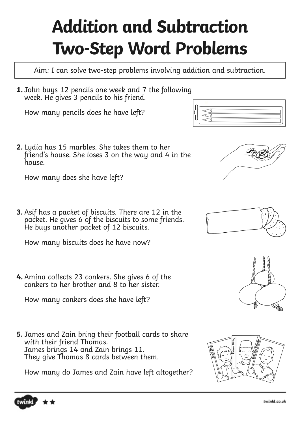## **Addition and Subtraction Two-Step Word Problems**

Aim: I can solve two-step problems involving addition and subtraction.

**1.** John buys 12 pencils one week and 7 the following week. He gives 3 pencils to his friend.

How many pencils does he have left?

**2.** Lydia has 15 marbles. She takes them to her friend's house. She loses 3 on the way and 4 in the house.

How many does she have left?

**3.** Asif has a packet of biscuits. There are 12 in the packet. He gives 6 of the biscuits to some friends. He buys another packet of 12 biscuits.

How many biscuits does he have now?

**4.** Amina collects 23 conkers. She gives 6 of the conkers to her brother and 8 to her sister.

How many conkers does she have left?

**5.** James and Zain bring their football cards to share with their friend Thomas. James brings 14 and Zain brings 11. They give Thomas 8 cards between them.

How many do James and Zain have left altogether?











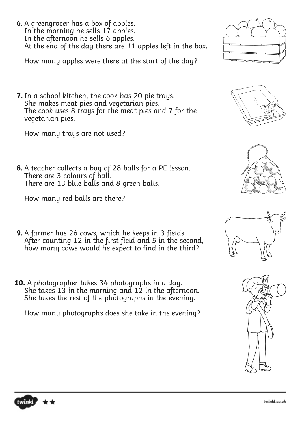**6.** A greengrocer has a box of apples. In the morning he sells 17 apples. In the afternoon he sells 6 apples. At the end of the day there are 11 apples left in the box.

How many apples were there at the start of the day?

**7.** In a school kitchen, the cook has 20 pie trays. She makes meat pies and vegetarian pies. The cook uses 8 trays for the meat pies and 7 for the vegetarian pies.

How many trays are not used?

**8.** A teacher collects a bag of 28 balls for a PE lesson. There are 3 colours of ball. There are 13 blue balls and 8 green balls.

How many red balls are there?

- **9.** A farmer has 26 cows, which he keeps in 3 fields. After counting 12 in the first field and 5 in the second, how many cows would he expect to find in the third?
- **10.** A photographer takes 34 photographs in a day. She takes 13 in the morning and 12 in the afternoon. She takes the rest of the photographs in the evening.

How many photographs does she take in the evening?











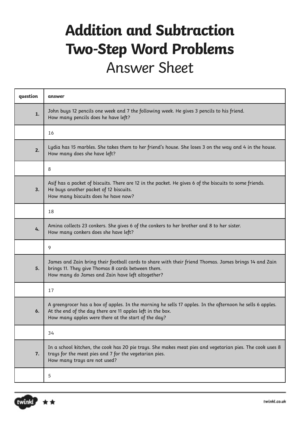## **Addition and Subtraction Two-Step Word Problems** Answer Sheet

| question | answer                                                                                                                                                                                                                         |
|----------|--------------------------------------------------------------------------------------------------------------------------------------------------------------------------------------------------------------------------------|
| 1.       | John buys 12 pencils one week and 7 the following week. He gives 3 pencils to his friend.<br>How many pencils does he have left?                                                                                               |
|          | 16                                                                                                                                                                                                                             |
| 2.       | Lydia has 15 marbles. She takes them to her friend's house. She loses 3 on the way and 4 in the house.<br>How many does she have left?                                                                                         |
|          | 8                                                                                                                                                                                                                              |
| 3.       | Asif has a packet of biscuits. There are 12 in the packet. He gives 6 of the biscuits to some friends.<br>He buys another packet of 12 biscuits.<br>How many biscuits does he have now?                                        |
|          | 18                                                                                                                                                                                                                             |
| 4.       | Amina collects 23 conkers. She gives 6 of the conkers to her brother and 8 to her sister.<br>How many conkers does she have left?                                                                                              |
|          | 9                                                                                                                                                                                                                              |
| 5.       | James and Zain bring their football cards to share with their friend Thomas. James brings 14 and Zain<br>brings 11. They give Thomas 8 cards between them.<br>How many do James and Zain have left altogether?                 |
|          | 17                                                                                                                                                                                                                             |
| 6.       | A greengrocer has a box of apples. In the morning he sells 17 apples. In the afternoon he sells 6 apples.<br>At the end of the day there are 11 apples left in the box.<br>How many apples were there at the start of the day? |
|          | 34                                                                                                                                                                                                                             |
| 7.       | In a school kitchen, the cook has 20 pie trays. She makes meat pies and vegetarian pies. The cook uses 8<br>trays for the meat pies and 7 for the vegetarian pies.<br>How many trays are not used?                             |
|          | 5                                                                                                                                                                                                                              |